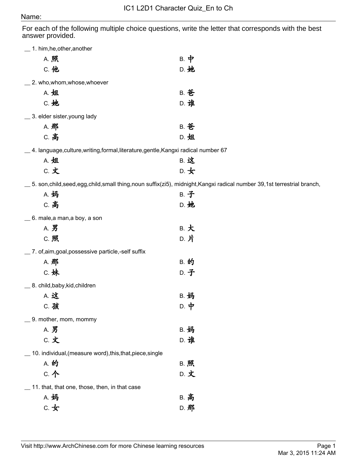## Name:

For each of the following multiple choice questions, write the letter that corresponds with the best answer provided.

| 1. him, he, other, another                                                       |                                                                                                                       |  |
|----------------------------------------------------------------------------------|-----------------------------------------------------------------------------------------------------------------------|--|
| A. 照                                                                             | $B.$ 中                                                                                                                |  |
| C. 他                                                                             | D. 她                                                                                                                  |  |
| _ 2. who,whom,whose,whoever                                                      |                                                                                                                       |  |
| A. 姐                                                                             | <b>B. 爸</b>                                                                                                           |  |
| C. 她                                                                             | D. 谁                                                                                                                  |  |
| _ 3. elder sister, young lady                                                    |                                                                                                                       |  |
| A. 那                                                                             | <b>B. 爸</b>                                                                                                           |  |
| C. 高                                                                             | D. 姐                                                                                                                  |  |
| __ 4. language,culture,writing,formal,literature,gentle,Kangxi radical number 67 |                                                                                                                       |  |
| A. 姐                                                                             | <b>B. 这</b>                                                                                                           |  |
| C. 文                                                                             | $D.$ 女                                                                                                                |  |
|                                                                                  | _ 5. son,child,seed,egg,child,small thing,noun suffix(zi5), midnight,Kangxi radical number 39,1st terrestrial branch, |  |
| A. 妈                                                                             | <b>B. 子</b>                                                                                                           |  |
| C. 高                                                                             | D. 她                                                                                                                  |  |
| 6. male,a man,a boy, a son                                                       |                                                                                                                       |  |
| A. 男                                                                             | B. 大                                                                                                                  |  |
| C. 照                                                                             | D. 片                                                                                                                  |  |
| _ 7. of,aim,goal,possessive particle,-self suffix                                |                                                                                                                       |  |
| A. 那                                                                             | <b>B. 的</b>                                                                                                           |  |
| C. 妹                                                                             | D. 子                                                                                                                  |  |
| _8. child, baby, kid, children                                                   |                                                                                                                       |  |
| A. 这                                                                             | <b>B. 妈</b>                                                                                                           |  |
| C. 孩                                                                             | D. 中                                                                                                                  |  |
| 9. mother, mom, mommy                                                            |                                                                                                                       |  |
| A. 男                                                                             | <b>B. 妈</b>                                                                                                           |  |
| C. 文                                                                             | D. 谁                                                                                                                  |  |
| 10. individual, (measure word), this, that, piece, single                        |                                                                                                                       |  |
| A. 的                                                                             | <b>B. 照</b>                                                                                                           |  |
| C. 个                                                                             | D. 文                                                                                                                  |  |
| 11. that, that one, those, then, in that case                                    |                                                                                                                       |  |
| A. 妈                                                                             | <b>B. 高</b>                                                                                                           |  |
| $C.$ 女                                                                           | D. 那                                                                                                                  |  |
|                                                                                  |                                                                                                                       |  |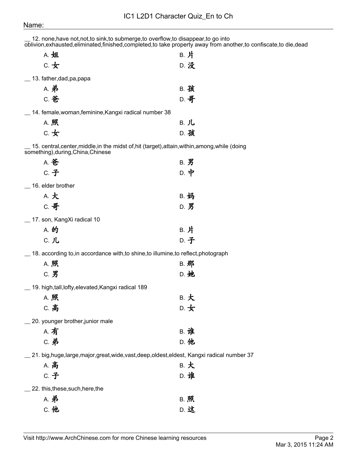## Name:

| A. 姐                                                    | B. 片                                                                                            |
|---------------------------------------------------------|-------------------------------------------------------------------------------------------------|
| $C.$ 女                                                  | D. 没                                                                                            |
| 13. father, dad, pa, papa                               |                                                                                                 |
| <b>A. 弟</b>                                             | <b>B. 孩</b>                                                                                     |
| <b>C. 爸</b>                                             | D. 哥                                                                                            |
| _ 14. female, woman, feminine, Kangxi radical number 38 |                                                                                                 |
| A. 照                                                    | B. 儿                                                                                            |
| $C.$ 女                                                  | D. 孩                                                                                            |
| something), during, China, Chinese                      | 15. central, center, middle, in the midst of, hit (target), attain, within, among, while (doing |
| A. 爸                                                    | $B.$ 男                                                                                          |
| <b>C.子</b>                                              | $D.$ 中                                                                                          |
| 16. elder brother                                       |                                                                                                 |
| A. 大                                                    | <b>B. 妈</b>                                                                                     |
| C. 哥                                                    | D. 男                                                                                            |
| _ 17. son, KangXi radical 10                            |                                                                                                 |
| A. 的                                                    | B. 片                                                                                            |
| C. 儿                                                    | D. 子                                                                                            |
|                                                         | 18. according to, in accordance with, to shine, to illumine, to reflect, photograph             |
| A. 照                                                    | B. 那                                                                                            |
| C. 男                                                    | D. 她                                                                                            |
| 19. high,tall,lofty,elevated,Kangxi radical 189         |                                                                                                 |
| A. 照                                                    | B. 大                                                                                            |
| C. 高                                                    | D. 女                                                                                            |
| 20. younger brother, junior male                        |                                                                                                 |
| A. 有                                                    | <b>B. 谁</b>                                                                                     |
| <b>C. 弟</b>                                             | D. 他                                                                                            |
|                                                         | $\_$ 21. big,huge,large,major,great,wide,vast,deep,oldest,eldest, Kangxi radical number 37 $\,$ |
| <b>A. 高</b>                                             | B. 大                                                                                            |
| <b>C.子</b>                                              | D. 谁                                                                                            |
| _22. this,these,such,here,the                           |                                                                                                 |
| <b>A. 弟</b>                                             | B. 照                                                                                            |

C. 他 D. 这